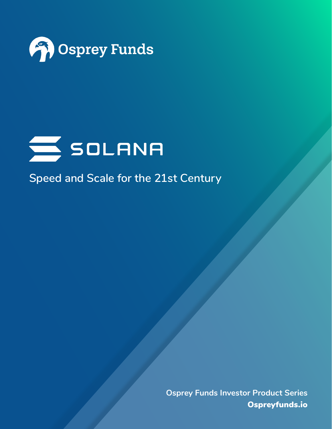



**Speed and Scale for the 21st Century**

**[Osprey Funds Investor Product Series](http://ospreyfunds.io)** Ospreyfunds.io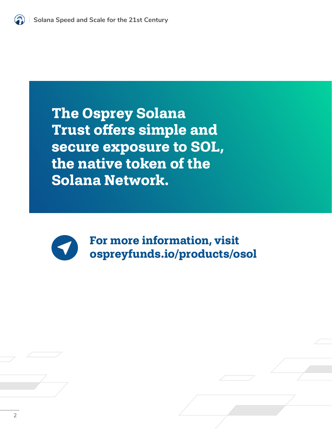**The Osprey Solana Trust offers simple and secure exposure to SOL, the native token of the Solana Network.** 



**For more information, visit [ospreyfunds.io/products/osol](https://ospreyfunds.io/products/osol/)**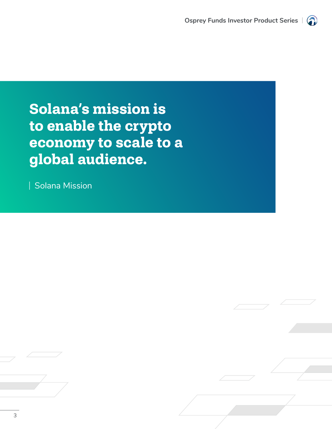

# **Solana's mission is to enable the crypto economy to scale to a global audience.**

Solana Mission

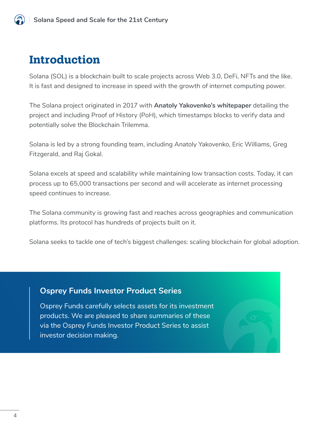# **Introduction**

Solana (SOL) is a blockchain built to scale projects across Web 3.0, DeFi, NFTs and the like. It is fast and designed to increase in speed with the growth of internet computing power.

The Solana project originated in 2017 with **[Anatoly Yakovenko's whitepaper](https://solana.com/solana-whitepaper.pdf)** detailing the project and including Proof of History (PoH), which timestamps blocks to verify data and potentially solve the Blockchain Trilemma.

Solana is led by a strong founding team, including Anatoly Yakovenko, Eric Williams, Greg Fitzgerald, and Raj Gokal.

Solana excels at speed and scalability while maintaining low transaction costs. Today, it can process up to 65,000 transactions per second and will accelerate as internet processing speed continues to increase.

The Solana community is growing fast and reaches across geographies and communication platforms. Its protocol has hundreds of projects built on it.

Solana seeks to tackle one of tech's biggest challenges: scaling blockchain for global adoption.

### **Osprey Funds Investor Product Series**

Osprey Funds carefully selects assets for its investment products. We are pleased to share summaries of these via the Osprey Funds Investor Product Series to assist investor decision making.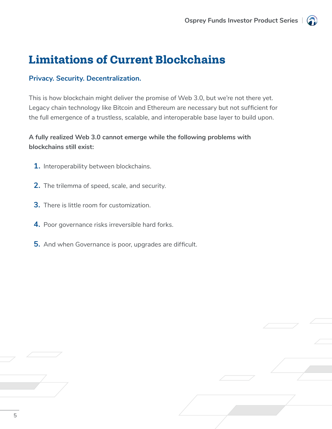# **Limitations of Current Blockchains**

#### **Privacy. Security. Decentralization.**

This is how blockchain might deliver the promise of Web 3.0, but we're not there yet. Legacy chain technology like Bitcoin and Ethereum are necessary but not sufficient for the full emergence of a trustless, scalable, and interoperable base layer to build upon.

### **A fully realized Web 3.0 cannot emerge while the following problems with blockchains still exist:**

- **1.** Interoperability between blockchains.
- **2.** The trilemma of speed, scale, and security.
- **3.** There is little room for customization.
- **4.** Poor governance risks irreversible hard forks.
- **5.** And when Governance is poor, upgrades are difficult.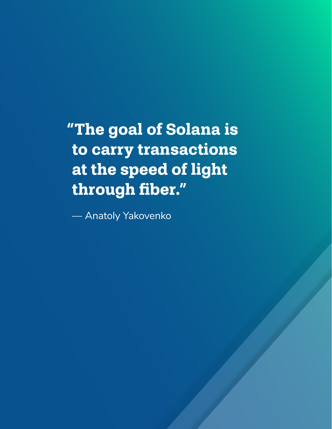**["The goal of Solana is](https://solana.com/news/anatoly-yakovenko-talks-decentralization-developer-community-at-udc-2021)  to carry transactions at the speed of light through fiber."**

— Anatoly Yakovenko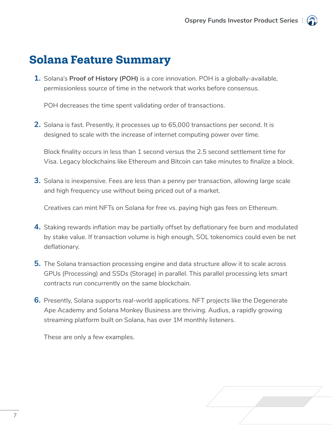# **Solana Feature Summary**

**1.** Solana's **[Proof of History \(POH\)](https://www.youtube.com/watch?v=rywOYfGu4EA)** is a core innovation. POH is a globally-available, permissionless source of time in the network that works before consensus.

POH decreases the time spent validating order of transactions.

**2.** Solana is fast. Presently, it processes up to 65,000 transactions per second. It is designed to scale with the increase of internet computing power over time.

Block finality occurs in less than 1 second versus the 2.5 second settlement time for Visa. Legacy blockchains like Ethereum and Bitcoin can take minutes to finalize a block.

**3.** Solana is inexpensive. Fees are less than a penny per transaction, allowing large scale and high frequency use without being priced out of a market.

Creatives can mint NFTs on Solana for free vs. paying high gas fees on Ethereum.

- **4.** Staking rewards inflation may be partially offset by deflationary fee burn and modulated by stake value. If transaction volume is high enough, SOL tokenomics could even be net deflationary.
- **5.** The Solana transaction processing engine and data structure allow it to scale across GPUs (Processing) and SSDs (Storage) in parallel. This parallel processing lets smart contracts run concurrently on the same blockchain.
- **6.** Presently, Solana supports real-world applications. NFT projects like the Degenerate Ape Academy and Solana Monkey Business are thriving. Audius, a rapidly growing streaming platform built on Solana, has over 1M monthly listeners.

These are only a few examples.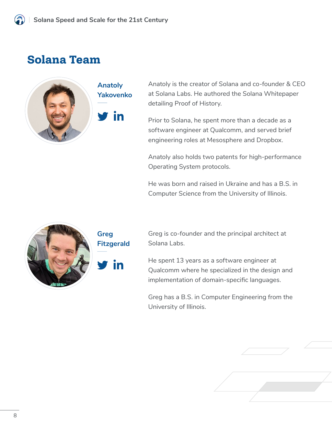# **Solana Team**



**Anatoly Yakovenko**

in

Anatoly is the creator of Solana and co-founder & CEO at Solana Labs. He authored the Solana Whitepaper detailing Proof of History.

Prior to Solana, he spent more than a decade as a software engineer at Qualcomm, and served brief engineering roles at Mesosphere and Dropbox.

Anatoly also holds two patents for high-performance Operating System protocols.

He was born and raised in Ukraine and has a B.S. in Computer Science from the University of Illinois.



**Greg Fitzgerald** Greg is co-founder and the principal architect at Solana Labs.

He spent 13 years as a software engineer at Qualcomm where he specialized in the design and implementation of domain-specific languages.

Greg has a B.S. in Computer Engineering from the University of Illinois.

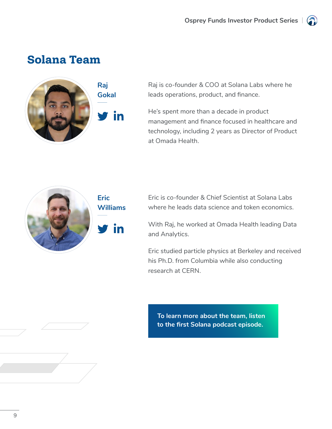

# **Solana Team**



**in** 

Raj is co-founder & COO at Solana Labs where he leads operations, product, and finance.

He's spent more than a decade in product management and finance focused in healthcare and technology, including 2 years as Director of Product at Omada Health.



Eric is co-founder & Chief Scientist at Solana Labs where he leads data science and token economics.

With Raj, he worked at Omada Health leading Data and Analytics.

Eric studied particle physics at Berkeley and received his Ph.D. from Columbia while also conducting research at CERN.

**[To learn more about the team, listen](https://podcast.solana.com/episodes/what-is-solana)  to the first Solana podcast episode.**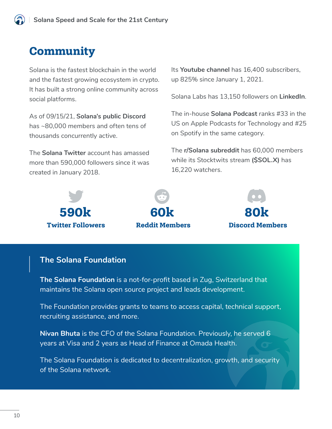### **Community**

Solana is the fastest blockchain in the world and the fastest growing ecosystem in crypto. It has built a strong online community across social platforms.

As of 09/15/21, **[Solana's public Discord](https://discord.com/invite/pquxPsq)** has ~80,000 members and often tens of thousands concurrently active.

The **[Solana Twitter](https://twitter.com/solana)** account has amassed more than 590,000 followers since it was created in January 2018.

Its **[Youtube channel](https://www.youtube.com/c/Solanalabs)** has 16,400 subscribers, up 825% since January 1, 2021.

Solana Labs has 13,150 followers on **[LinkedIn](https://www.linkedin.com/company/solanalabs/)**.

The in-house **[Solana Podcast](https://podcast.solana.com/https://podcast.solana.com/)** ranks #33 in the US on Apple Podcasts for Technology and #25 on Spotify in the same category.

The **[r/Solana subreddit](https://www.reddit.com/r/solana/)** has 60,000 members while its Stocktwits stream **[\(\\$SOL.X\)](https://stocktwits.com/symbol/SOL.X)** has 16,220 watchers.



### **The Solana Foundation**

**[The Solana Foundation](https://solana.foundation/)** is a not-for-profit based in Zug, Switzerland that maintains the Solana open source project and leads development.

The Foundation provides grants to teams to access capital, technical support, recruiting assistance, and more.

**[Nivan Bhuta](https://www.linkedin.com/in/nivanbhuta/?originalSubdomain=ch)** is the CFO of the Solana Foundation. Previously, he served 6 years at Visa and 2 years as Head of Finance at Omada Health.

The Solana Foundation is dedicated to decentralization, growth, and security of the Solana network.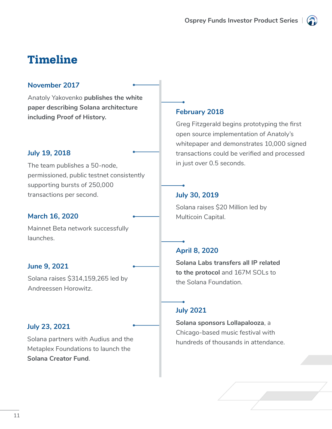

# **Timeline**

#### **November 2017**

Anatoly Yakovenko **[publishes the white](https://solana.com/solana-whitepaper.pdf)  [paper describing Solana architecture](https://solana.com/solana-whitepaper.pdf)  [including Proof of History.](https://solana.com/solana-whitepaper.pdf)** 

#### **July 19, 2018**

The team publishes a 50-node, permissioned, public testnet consistently supporting bursts of 250,000 transactions per second.

#### **March 16, 2020**

Mainnet Beta network successfully launches.

### **June 9, 2021**

Solana raises \$314,159,265 led by Andreessen Horowitz.

#### **July 23, 2021**

Solana partners with Audius and the Metaplex Foundations to launch the **[Solana Creator Fund](https://solana.com/news/announcing-the-solana-creator-fundonboarding-the-next-10-000-creators-and-their-fans-into-crypto)**.

### **February 2018**

Greg Fitzgerald begins prototyping the first open source implementation of Anatoly's whitepaper and demonstrates 10,000 signed transactions could be verified and processed in just over 0.5 seconds.

### **July 30, 2019**

Solana raises \$20 Million led by Multicoin Capital.

### **April 8, 2020**

**[Solana Labs transfers all IP related](https://solana.com/news/announcing-the-formation-of-the-solana-foundation#:~:text=On%20April%208th%2C%202020%20Solana,this%20is%20subject%20to%20change).)  [to the protocol](https://solana.com/news/announcing-the-formation-of-the-solana-foundation#:~:text=On%20April%208th%2C%202020%20Solana,this%20is%20subject%20to%20change).)** and 167M SOLs to the Solana Foundation.

### **July 2021**

**[Solana sponsors Lollapalooza](https://decrypt.co/77225/solana-enjoys-boost-during-lollapalooza-music-festival)**, a Chicago-based music festival with hundreds of thousands in attendance.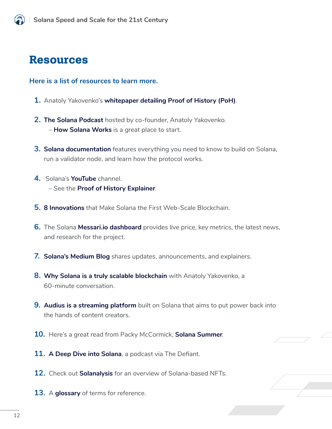# **Resources**

#### **Here is a list of resources to learn more.**

- **1.** Anatoly Yakovenko's **[whitepaper detailing Proof of History \(PoH\)](https://solana.com/solana-whitepaper.pdf)**.
- **2. [The Solana Podcast](https://podcast.solana.com)** hosted by co-founder, Anatoly Yakovenko. – **[How Solana Works](https://podcast.solana.com/episodes/how-does-solana-work)** is a great place to start.
- **3. [Solana documentation](https://docs.solana.com)** features everything you need to know to build on Solana, run a validator node, and learn how the protocol works.
- **4.** Solana's **[YouTube](https://www.youtube.com/solanalabs)** channel. – See the **[Proof of History Explainer](https://www.youtube.com/watch?v=rywOYfGu4EA)**.
- **5. [8 Innovations](https://medium.com/solana-labs/7-innovations-that-make-solana-the-first-web-scale-blockchain-ddc50b1defda)** that Make Solana the First Web-Scale Blockchain.
- **6.** The Solana **[Messari.io dashboard](https://messari.io/asset/solana)** provides live price, key metrics, the latest news, and research for the project.
- **7. [Solana's Medium Blog](https://medium.com/solana-labs)** shares updates, announcements, and explainers.
- **8. [Why Solana is a truly scalable blockchain](https://www.youtube.com/watch?v=hya_GsSf9FE)** with Anatoly Yakovenko, a 60-minute conversation.
- **9. [Audius is a streaming platform](https://audius.co/)** built on Solana that aims to put power back into the hands of content creators.
- **10.** Here's a great read from Packy McCormick, **[Solana Summer](https://www.notboring.co/p/solana-summer)**.
- **11. [A Deep Dive into Solana](https://www.youtube.com/watch?v=jcVek9OnVjw)**, a podcast via The Defiant.
- **12.** Check out **[Solanalysis](https://solanalysis.com/)** for an overview of Solana-based NFTs.
- **13.** A **[glossary](https://docs.solana.com/terminology)** of terms for reference.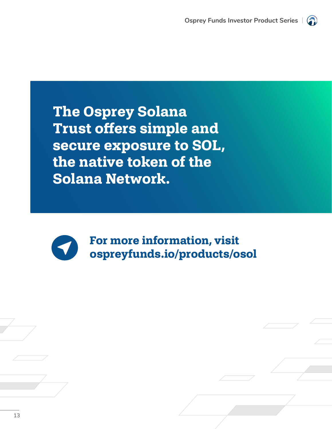**The Osprey Solana Trust offers simple and secure exposure to SOL, the native token of the Solana Network.** 



**For more information, visit [ospreyfunds.io/products/osol](https://ospreyfunds.io/products/osol/)**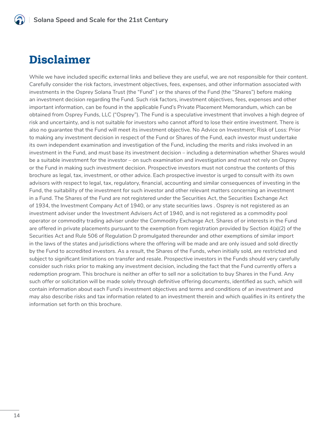# **Disclaimer**

While we have included specific external links and believe they are useful, we are not responsible for their content. Carefully consider the risk factors, investment objectives, fees, expenses, and other information associated with investments in the Osprey Solana Trust (the "Fund" ) or the shares of the Fund (the "Shares") before making an investment decision regarding the Fund. Such risk factors, investment objectives, fees, expenses and other important information, can be found in the applicable Fund's Private Placement Memorandum, which can be obtained from Osprey Funds, LLC ("Osprey"). The Fund is a speculative investment that involves a high degree of risk and uncertainty, and is not suitable for investors who cannot afford to lose their entire investment. There is also no guarantee that the Fund will meet its investment objective. No Advice on Investment; Risk of Loss: Prior to making any investment decision in respect of the Fund or Shares of the Fund, each investor must undertake its own independent examination and investigation of the Fund, including the merits and risks involved in an investment in the Fund, and must base its investment decision – including a determination whether Shares would be a suitable investment for the investor – on such examination and investigation and must not rely on Osprey or the Fund in making such investment decision. Prospective investors must not construe the contents of this brochure as legal, tax, investment, or other advice. Each prospective investor is urged to consult with its own advisors with respect to legal, tax, regulatory, financial, accounting and similar consequences of investing in the Fund, the suitability of the investment for such investor and other relevant matters concerning an investment in a Fund. The Shares of the Fund are not registered under the Securities Act, the Securities Exchange Act of 1934, the Investment Company Act of 1940, or any state securities laws . Osprey is not registered as an investment adviser under the Investment Advisers Act of 1940, and is not registered as a commodity pool operator or commodity trading adviser under the Commodity Exchange Act. Shares of or interests in the Fund are offered in private placements pursuant to the exemption from registration provided by Section 4(a)(2) of the Securities Act and Rule 506 of Regulation D promulgated thereunder and other exemptions of similar import in the laws of the states and jurisdictions where the offering will be made and are only issued and sold directly by the Fund to accredited investors. As a result, the Shares of the Funds, when initially sold, are restricted and subject to significant limitations on transfer and resale. Prospective investors in the Funds should very carefully consider such risks prior to making any investment decision, including the fact that the Fund currently offers a redemption program. This brochure is neither an offer to sell nor a solicitation to buy Shares in the Fund. Any such offer or solicitation will be made solely through definitive offering documents, identified as such, which will contain information about each Fund's investment objectives and terms and conditions of an investment and may also describe risks and tax information related to an investment therein and which qualifies in its entirety the information set forth on this brochure.